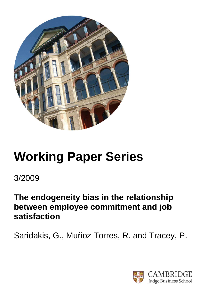

# **Working Paper Series**

3/2009

**The endogeneity bias in the relationship between employee commitment and job satisfaction** 

Saridakis, G., Muñoz Torres, R. and Tracey, P.

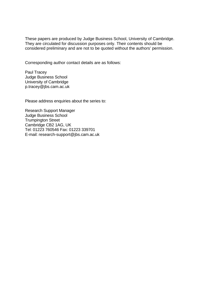These papers are produced by Judge Business School, University of Cambridge. They are circulated for discussion purposes only. Their contents should be considered preliminary and are not to be quoted without the authors' permission.

Corresponding author contact details are as follows:

Paul Tracey Judge Business School University of Cambridge p.tracey@jbs.cam.ac.uk

Please address enquiries about the series to:

Research Support Manager Judge Business School Trumpington Street Cambridge CB2 1AG, UK Tel: 01223 760546 Fax: 01223 339701 E-mail: research-support@jbs.cam.ac.uk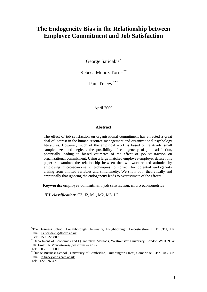# **The Endogeneity Bias in the Relationship between Employee Commitment and Job Satisfaction**

George Saridakis*\**

Rebeca Muñoz Torres\*\*

Paul Tracey \*\*\*

April 2009

# **Abstract**

The effect of job satisfaction on organisational commitment has attracted a great deal of interest in the human resource management and organizational psychology literatures. However, much of the empirical work is based on relatively small sample sizes and neglects the possibility of endogeneity of job satisfaction, potentially leading to biased estimates of the effect of job satisfaction on organizational commitment. Using a large matched employee-employer dataset this paper re-examines the relationship between the two work-related attitudes by employing micro-econometric techniques to correct for potential endogeneity arising from omitted variables and simultaneity. We show both theoretically and empirically that ignoring the endogeneity leads to overestimate of the effects.

**Keywords:** employee commitment, job satisfaction, micro econometrics

*JEL classification:* C3, J2, M1, M2, M5, L2

1

<sup>\*</sup> The Business School, Loughborough University, Loughborough, Leicestershire, LE11 3TU, UK. Email: G.Saridakis@lboro.ac.uk .

Tel: 01509 228809.

<sup>\*\*</sup>Department of Economics and Quantitative Methods, Westminster University, London W1B 2UW, UK. Email: R.Munoztorres@westminster.ac.uk.

Tel: 020 7911 5000.

<sup>\*\*\*</sup>Judge Business School , University of Cambridge, Trumpington Street, Cambridge, CB2 1AG, UK. Email: p.tracey@jbs.cam.ac.uk.

Tel: 01223 760471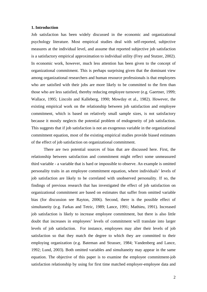#### **1. Introduction**

Job satisfaction has been widely discussed in the economic and organizational psychology literature. Most empirical studies deal with self-reported, subjective measures at the individual level, and assume that reported subjective job satisfaction is a satisfactory empirical approximation to individual utility (Frey and Stutzer, 2002). In economic work, however, much less attention has been given to the concept of organizational commitment. This is perhaps surprising given that the dominant view among organizational researchers and human resource professionals is that employees who are satisfied with their jobs are more likely to be committed to the firm than those who are less satisfied, thereby reducing employee turnover (e.g. Gaertner, 1999; Wallace, 1995; Lincoln and Kalleberg, 1990; Mowday et al., 1982). However, the existing empirical work on the relationship between job satisfaction and employee commitment, which is based on relatively small sample sizes, is not satisfactory because it mostly neglects the potential problem of endogeneity of job satisfaction. This suggests that if job satisfaction is not an exogenous variable in the organizational commitment equation, most of the existing empirical studies provide biased estimates of the effect of job satisfaction on organizational commitment.

 There are two potential sources of bias that are discussed here. First, the relationship between satisfaction and commitment might reflect some unmeasured third variable - a variable that is hard or impossible to observe. An example is omitted personality traits in an employee commitment equation, where individuals' levels of job satisfaction are likely to be correlated with unobserved personality. If so, the findings of previous research that has investigated the effect of job satisfaction on organizational commitment are based on estimates that suffer from omitted variable bias (for discussion see Rayton, 2006). Second, there is the possible effect of simultaneity (e.g. Farkas and Tetric, 1989; Lance, 1991; Mathieu, 1991). Increased job satisfaction is likely to increase employee commitment, but there is also little doubt that increases in employees' levels of commitment will translate into larger levels of job satisfaction. For instance, employees may alter their levels of job satisfaction so that they match the degree to which they are committed to their employing organization (e.g. Bateman and Strasser, 1984; Vandenberg and Lance, 1992; Lund, 2003). Both omitted variables and simultaneity may appear in the same equation. The objective of this paper is to examine the employee commitment-job satisfaction relationship by using for first time matched employer-employee data and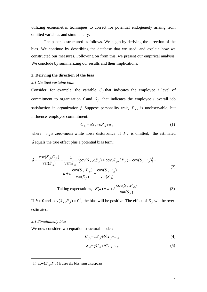utilizing econometric techniques to correct for potential endogeneity arising from omitted variables and simultaneity.

The paper is structured as follows. We begin by deriving the direction of the bias. We continue by describing the database that we used, and explain how we constructed our measures. Following on from this, we present our empirical analysis. We conclude by summarizing our results and their implications.

#### **2. Deriving the direction of the bias**

#### *2.1 Omitted variable bias*

Consider, for example, the variable  $C<sub>f</sub>$  that indicates the employee *i* level of commitment to organization  $f$  and  $S<sub>f<sub>i</sub></sub>$  that indicates the employee *i* overall job satisfaction in organization *f*. Suppose personality trait,  $P_{\hat{\mu}}$ , is unobservable, but influence employee commitment:

$$
C_{f_i} = aS_{fi} + bP_{fi} + u_{fi} \tag{1}
$$

where  $u_{\hat{f}}$  is zero-mean white noise disturbance. If  $P_{\hat{f}}$  is omitted, the estimated  $\hat{a}$  equals the true effect plus a potential bias term:

$$
\hat{a} = \frac{\text{cov}(S_{\hat{J}}, C_{\hat{J}})}{\text{var}(S_{\hat{J}})} = \frac{1}{\text{var}(S_{\hat{J}})} \Big\{ \text{cov}(S_{\hat{J}}, aS_{\hat{J}}) + \text{cov}(S_{\hat{J}}, bP_{\hat{J}}) + \text{cov}(S_{\hat{J}}, u_{\hat{J}}) \Big\} =
$$
  

$$
a + b \frac{\text{cov}(S_{\hat{J}}, P_{\hat{J}})}{\text{var}(S_{\hat{J}})} + \frac{\text{cov}(S_{\hat{J}}, u_{\hat{J}})}{\text{var}(S_{\hat{J}})}
$$
  

$$
\text{cov}(S_{\hat{J}}, P_{\hat{J}})
$$

Taking expectations, 
$$
E(\hat{a}) = a + b \frac{\text{cov}(S_{\hat{f}}, P_{\hat{f}})}{\text{var}(S_{\hat{f}})}
$$
 (3)

If  $b > 0$  and  $cov(S_{\hat{f}}, P_{\hat{f}}) > 0^{\hat{f}}$ , the bias will be positive. The effect of  $S_{\hat{f}}$  will be overestimated.

#### *2.1 Simultaneity bias*

1

We now consider two-equation structural model:

$$
C_{f_i} = aS_{fi} + b'X_{fi} + u_{fi}
$$
\n<sup>(4)</sup>

$$
S_{\hat{H}} = \gamma C_{\hat{H}} + \delta X_{\hat{H}} + v_{\hat{H}}
$$
\n<sup>(5)</sup>

<sup>&</sup>lt;sup>1</sup> If,  $cov(S_{\hat{f}}, P_{\hat{f}})$  is zero the bias term disappears.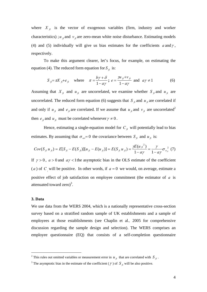where  $X_{fi}$  is the vector of exogenous variables (firm, industry and worker characteristics) ;  $u_{\hat{h}}$  and  $v_{\hat{h}}$  are zero-mean white noise disturbance. Estimating models (4) and (5) individually will give us bias estimates for the coefficients  $a$  and  $\gamma$ , respectively.

To make this argument clearer, let's focus, for example, on estimating the equation (4). The reduced form equation for  $S_f$  is:

$$
S_{\hat{j}} = \pi X_{\hat{j}} + e_{\hat{j}} \quad \text{where} \quad \pi = \frac{b\gamma + \delta}{1 - a\gamma}; \ e = \frac{\gamma u_{\hat{j}} + v_{\hat{j}}}{1 - a\gamma} \text{ and } a\gamma \neq 1 \tag{6}
$$

Assuming that  $X_{\hat{h}}$  and  $u_{\hat{h}}$  are uncorrelated, we examine whether  $S_{\hat{h}}$  and  $u_{\hat{h}}$  are uncorrelated. The reduced form equation (6) suggests that  $S<sub>f</sub>$  and  $u<sub>f</sub>$  are correlated if and only if  $u_{fi}$  and  $e_{fi}$  are correlated. If we assume that  $u_{fi}$  and  $v_{fi}$  are uncorrelated<sup>2</sup> then  $e_{\hat{h}}$  and  $u_{\hat{h}}$  must be correlated whenever  $\gamma \neq 0$ .

Hence, estimating a single-equation model for  $C<sub>f</sub>$  will potentially lead to bias estimates. By assuming that  $\sigma_{uv}=0$  the covariance between  $S_{\hat{h}}$  and  $u_{\hat{h}}$  is:

$$
Cov(S_{fi}u_{fi}) = E[S_{fi} - E(S_{fi})][u_{fi} - E(u_{fi})] = E(S_{fi}u_{fi}) = \frac{\gamma E(u_{fi}^{2})}{1 - a\gamma} = \frac{\gamma}{1 - a\gamma} \sigma_{u_{fi}}^{2} (7)
$$

If  $\gamma > 0$ ,  $a > 0$  and  $a\gamma < 1$  the asymptotic bias in the OLS estimate of the coefficient (*a*) of *C* will be positive. In other words, if  $a = 0$  we would, on average, estimate a positive effect of job satisfaction on employee commitment (the estimator of *a* is attenuated toward zero)<sup>3</sup>.

#### **3. Data**

1

We use data from the WERS 2004, which is a nationally representative cross-section survey based on a stratified random sample of UK establishments and a sample of employees at those establishments (see Chaplin et al.*,* 2005 for comprehensive discussion regarding the sample design and selection). The WERS comprises an employee questionnaire (EQ) that consists of a self-completion questionnaire

<sup>&</sup>lt;sup>2</sup> This rules out omitted variables or measurement error in  $u_{\hat{f}}$  that are correlated with  $S_{\hat{f}}$ .

<sup>&</sup>lt;sup>3</sup> The asymptotic bias in the estimate of the coefficient ( $\gamma$ ) of  $S_{\hat{f}}$  will be also positive.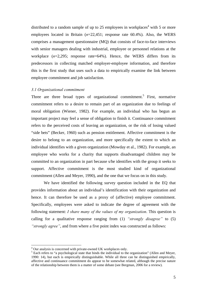distributed to a random sample of up to 25 employees in workplaces<sup>4</sup> with 5 or more employees located in Britain (*n*=22,451; response rate 60.4%). Also, the WERS comprises a management questionnaire (MQ) that consists of face-to-face interviews with senior managers dealing with industrial, employee or personnel relations at the workplace  $(n=2,295)$ ; response rate=64%). Hence, the WERS differs from its predecessors in collecting matched employer-employee information, and therefore this is the first study that uses such a data to empirically examine the link between employee commitment and job satisfaction.

#### *3.1 Organizational commitment*

Three are three broad types of organizational commitment.<sup>5</sup> First, normative commitment refers to a desire to remain part of an organization due to feelings of moral obligation (Wiener, 1982). For example, an individual who has begun an important project may feel a sense of obligation to finish it. Continuance commitment refers to the perceived costs of leaving an organization, or the risk of losing valued "side bets" (Becker, 1960) such as pension entitlement. Affective commitment is the desire to belong to an organization, and more specifically the extent to which an individual identifies with a given organization (Mowday et al., 1982). For example, an employee who works for a charity that supports disadvantaged children may be committed to an organization in part because s/he identifies with the group it seeks to support. Affective commitment is the most studied kind of organizational commitment (Allen and Meyer, 1990), and the one that we focus on in this study.

We have identified the following survey question included in the EQ that provides information about an individual's identification with their organization and hence. It can therefore be used as a proxy of (affective) employee commitment. Specifically, employees were asked to indicate the degree of agreement with the following statement: *I share many of the values of my organization*. This question is calling for a qualitative response ranging from (1) *"strongly disagree"* to (5) *"strongly agree"*, and from where a five point index was constructed as follows:

<u>.</u>

 $^{4}$  Our analysis is concerned with private-owned UK workplaces only.

<sup>&</sup>lt;sup>5</sup> Each refers to "a psychological state that binds the individual to the organization" (Allen and Meyer, 1990: 14), but each is empirically distinguishable. While all three can be distinguished empirically, affective and continuance commitment do appear to be somewhat related, although the precise nature of the relationship between them is a matter of some debate (see Bergman, 2006 for a review).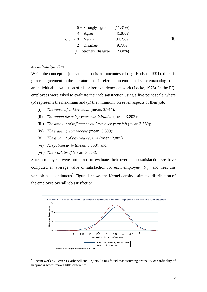|  | $5 =$ Strongly agree                           | $(11.31\%)$ |     |
|--|------------------------------------------------|-------------|-----|
|  | $4 = \text{Agree}$                             | (41.83%)    |     |
|  | $C_{fi} = \left\{ 3 = \text{Neutral} \right\}$ | (34.25%)    | (8) |
|  | $2 = Disagree$                                 | (9.73%)     |     |
|  | $1 =$ Strongly disagree                        | $(2.88\%)$  |     |

# *3.2 Job satisfaction*

<u>.</u>

While the concept of job satisfaction is not uncontested (e.g. Hodson, 1991), there is general agreement in the literature that it refers to an emotional state emanating from an individual's evaluation of his or her experiences at work (Locke, 1976). In the EQ, employees were asked to evaluate their job satisfaction using a five point scale, where (5) represents the maximum and (1) the minimum, on seven aspects of their job:

- (i) *The sense of achievement* (mean: 3.744);
- (ii) *The scope for using your own initiative* (mean: 3.802);
- (iii) *The amount of influence you have over your job* (mean 3.560);
- (iv) *The training you receive* (mean: 3.309);
- (v) *The amount of pay you receive* (mean: 2.885);
- (vi) *The job security* (mean: 3.558); and
- (vii) *The work itself* (mean: 3.763).

Since employees were not asked to evaluate their overall job satisfaction we have computed an average value of satisfaction for each employee ( $S<sub>f</sub>$ ) and treat this variable as a continuous<sup>6</sup>. Figure 1 shows the Kernel density estimated distribution of the employee overall job satisfaction.



<sup>&</sup>lt;sup>6</sup> Recent work by Ferrer-i-Carbonell and Frijters (2004) found that assuming ordinality or cardinality of happiness scores makes little difference.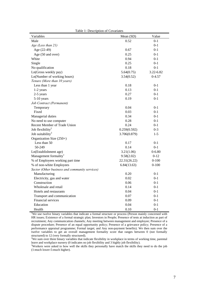| Table 1: Description of Covariates             |              |            |  |  |  |
|------------------------------------------------|--------------|------------|--|--|--|
| Variables                                      | Mean (SD)    | Value      |  |  |  |
| Male                                           | 0.52         | $0 - 1$    |  |  |  |
| Age (Less than 21)                             |              | $0 - 1$    |  |  |  |
| Age (22-49)                                    | 0.67         | $0 - 1$    |  |  |  |
| Age (50 and over)                              | 0.25         | $0 - 1$    |  |  |  |
| White                                          | 0.94         | $0 - 1$    |  |  |  |
| Single                                         | 0.25         | $0 - 1$    |  |  |  |
| No qualification                               | 0.18         | $0 - 1$    |  |  |  |
| Ln(Gross weekly pay)                           | 5.64(0.75)   | 3.22-6.82  |  |  |  |
| Ln(Number of working hours)                    | 3.54(0.52)   | $0 - 4.57$ |  |  |  |
| Tenure (More than 10 years)                    |              |            |  |  |  |
| Less than 1 year                               | 0.18         | $0-1$      |  |  |  |
| 1-2 years                                      | 0.13         | $0 - 1$    |  |  |  |
| 2-5 years                                      | 0.27         | $0 - 1$    |  |  |  |
| 5-10 years                                     | 0.19         | $0 - 1$    |  |  |  |
| Job Contract (Permanent)                       |              |            |  |  |  |
| Temporary                                      | 0.04         | $0 - 1$    |  |  |  |
| Fixed                                          | 0.03         | $0 - 1$    |  |  |  |
| Managerial duties                              | 0.34         | $0 - 1$    |  |  |  |
| No need to use computer                        | 0.28         | $0 - 1$    |  |  |  |
| Recent Member of Trade Union                   | 0.24         | $0 - 1$    |  |  |  |
| Job flexibility <sup>2</sup>                   | 0.259(0.592) | $0 - 3$    |  |  |  |
| Job suitability <sup>3</sup>                   | 3.706(0.879) | $1 - 5$    |  |  |  |
| Organization Size (250+)                       |              |            |  |  |  |
| Less than 50                                   | 0.17         | $0 - 1$    |  |  |  |
| 50-249                                         | 0.14         | $0 - 1$    |  |  |  |
| Ln(Establishment age)                          | 3.21(1.06)   | $0 - 6.80$ |  |  |  |
| Management formality <sup>1</sup>              | 9.58(2.02)   | $0-12$     |  |  |  |
| % of Employees working part time               | 22.31(26.22) | $0 - 100$  |  |  |  |
| % of non-white Employees                       | 6.84(13.63)  | $0-100$    |  |  |  |
| Sector (Other business and community services) |              |            |  |  |  |
| Manufacturing                                  | 0.20         | $0 - 1$    |  |  |  |
| Electricity, gas and water                     | 0.02         | $0 - 1$    |  |  |  |
| Construction                                   | 0.06         | $0 - 1$    |  |  |  |
| Wholesale and retail                           | 0.14         | $0 - 1$    |  |  |  |
| Hotels and restaurants                         | 0.04         | $0 - 1$    |  |  |  |
| Transport and communication                    | 0.07         | $0 - 1$    |  |  |  |
| Financial services                             | 0.09         | $0 - 1$    |  |  |  |
| Education                                      | 0.04         | $0 - 1$    |  |  |  |
| Health                                         | 0.10         | $0 - 1$    |  |  |  |

<sup>1</sup>We use twelve binary variables that indicate a formal structure or process (Person mainly concerned with HR issues; Existence of a formal strategic plan; Investors in People; Presence of tests at induction as part of recruitment; Any communication channels; Any meeting between management and employee; Presence of a dispute procedure; Presence of an equal opportunity policy; Presence of a grievance policy; Presence of a performance appraisal programme; Formal target; and Any non-payment benefits). We then sum over the twelve variables to get an overall management formality score that ranges between 0 (not formally

structured) to 12 (very formally structured).<br><sup>2</sup>We sum over three binary variables that indicate flexibility in workplace in terms of working time, parental leave and workplace nursery (0 indicates no job flexibility and 3 highly job flexibility).

Workers were asked to how well the skills they personally have match the skills they need to do the job (1:much lower-5:much higher).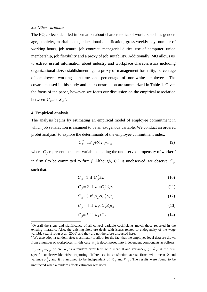#### *3.3 Other variables*

The EQ collects detailed information about characteristics of workers such as gender, age, ethnicity, marital status, educational qualification, gross weekly pay, number of working hours, job tenure, job contract, managerial duties, use of computer, union membership, job flexibility and a proxy of job suitability. Additionally, MQ allows us to extract useful information about industry and workplace characteristics including organizational size, establishment age, a proxy of management formality, percentage of employees working part-time and percentage of non-white employees. The covariates used in this study and their construction are summarized in Table 1. Given the focus of the paper, however, we focus our discussion on the empirical association between  $C_{fi}$  and  $S_{fi}^7$ .

## **4. Empirical analysis**

1

The analysis begins by estimating an empirical model of employee commitment in which job satisfaction is assumed to be an exogenous variable. We conduct an ordered probit analysis<sup>8</sup> to explore the determinants of the employee commitment index:

$$
C_{\hat{f}}^* = aS_{\hat{f}} + b'X_{\hat{f}} + u_{\hat{f}} \tag{9}
$$

where  $C_{\hat{h}}^*$  represent the latent variable denoting the unobserved propensity of worker *i* in firm *f* to be committed to firm *f*. Although,  $C_{\hat{f}}^*$  is unobserved, we observe  $C_{\hat{f}}$ such that:

$$
C_{\hat{H}} = 1 \text{ if } C_{\hat{H}}^* \le \mu_1 \tag{10}
$$

$$
C_{\hat{\beta}} = 2 \text{ if } \mu_1 < C_{\hat{\beta}}^* \leq \mu_2 \tag{11}
$$

$$
C_{\hat{J}} = 3 \text{ if } \mu_2 < C_{\hat{J}}^* \leq \mu_3 \tag{12}
$$

$$
C_{\hat{J}} = 4 \text{ if } \mu_3 < C_{\hat{J}}^* \leq \mu_4 \tag{13}
$$

$$
C_{\hat{H}} = 5 \text{ if } \mu_4 < C_i^* \tag{14}
$$

 $7$ Overall the signs and significance of all control variable coefficients match those reported in the existing literature. Also, the existing literature deals with issues related to endogeneity of the wage variable (e.g. Brown et al., 2006) and they are not therefore discussed here.

<sup>&</sup>lt;sup>8</sup> We also adopt a random effects estimator to allow for the fact that the employee level data are drawn from a number of workplaces. In this case  $u_{fi}$  is decomposed into independent components as follows:  $u_{fi} = \frac{\partial}{\partial f} + \eta_{fi}$  where  $\eta_{fi}$  is a random error term with mean 0 and variance  $\sigma_i^2$ ;  $\mathcal{G}_f$  is the firm specific unobservable effect capturing differences in satisfaction across firms with mean 0 and variance  $\sigma_{\beta}^2$ , and it is assumed to be independent of *S*  $_{f_i}$  and *X*  $_{f_i}$ . The results were found to be unaffected when a random effects estimator was used.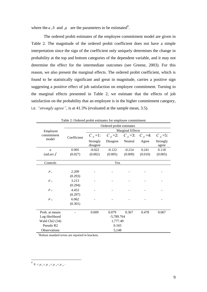where the *a*, *b* and  $\mu$  are the parameters to be estimated<sup>9</sup>.

The ordered probit estimates of the employee commitment model are given in Table 2. The magnitude of the ordered probit coefficient does not have a simple interpretation since the sign of the coefficient only uniquely determines the change in probability at the top and bottom categories of the dependent variable, and it may not determine the effect for the intermediate outcomes (see Greene, 2003). For this reason, we also present the marginal effects. The ordered probit coefficient, which is found to be statistically significant and great in magnitude, carries a positive sign suggesting a positive effect of job satisfaction on employee commitment. Turning to the marginal effects presented in Table 2, we estimate that the effects of job satisfaction on the probability that an employee is in the higher commitment category, i.e. *"strongly agree"*, is at 41.3% (evaluated at the sample mean, 3.5).

| Table 2: Ordered probit estimates for employee commitment |                          |                         |                |                |                |               |
|-----------------------------------------------------------|--------------------------|-------------------------|----------------|----------------|----------------|---------------|
|                                                           | Ordered probit estimates |                         |                |                |                |               |
| Employee                                                  |                          | <b>Marginal Effects</b> |                |                |                |               |
| commitment                                                | Coefficient              | $C_{fi} = 1$ :          | $C_{fi} = 2$ : | $C_{fi} = 3$ : | $C_{fi} = 4$ : | $C_{fi} = 5:$ |
| model                                                     |                          | Strongly                | Disagree       | Neutral        | Agree          | Strongly      |
|                                                           |                          | disagree                |                |                |                | agree         |
| $\alpha$                                                  | 0.905                    | $-0.022$                | $-0.122$       | $-0.214$       | 0.241          | 0.118         |
| $(stat.$ err. $)^{1}$                                     | (0.027)                  | (0.002)                 | (0.005)        | (0.009)        | (0.010)        | (0.005)       |
|                                                           |                          |                         |                |                |                |               |
|                                                           | Controls<br>Yes          |                         |                |                |                |               |
|                                                           |                          |                         |                |                |                |               |
| $\mu_{1}$                                                 | 2.209                    |                         |                |                |                |               |
|                                                           | (0.293)                  |                         |                |                |                |               |
| $\mu_{2}$                                                 | 3.213                    |                         |                |                |                |               |
|                                                           | (0.294)                  |                         |                |                |                |               |
| $\mu$ <sub>3</sub>                                        | 4.453                    |                         |                |                |                |               |
|                                                           | (0.297)                  |                         |                |                |                |               |
| $\mu$ <sub>4</sub>                                        | 6.062                    |                         |                |                |                |               |
|                                                           | (0.301)                  |                         |                |                |                |               |
|                                                           |                          |                         |                |                |                |               |
| Prob. at means                                            |                          | 0.009                   | 0.079          | 0.367          | 0.478          | 0.067         |
| Log-likelihood                                            |                          | $-5,789.764$            |                |                |                |               |
| Wald Chi <sub>2</sub> (34)                                |                          | 1,777.49                |                |                |                |               |
| Pseudo R2                                                 |                          | 0.165                   |                |                |                |               |
| <b>Observations</b>                                       |                          | 5,148                   |                |                |                |               |

Table 2: Ordered probit estimates for employee commitment

1 Robust standard errors are reported in brackets.

 $\frac{9}{9}$  0 <  $\mu$ <sub>1</sub> <  $\mu$ <sub>2</sub> <  $\mu$ <sub>3</sub> <  $\mu$ <sub>4</sub>.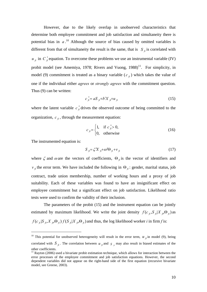However, due to the likely overlap in unobserved characteristics that determine both employee commitment and job satisfaction and simultaneity there is potential bias in  $a$ <sup>10</sup> Although the source of bias caused by omitted variables is different from that of simultaneity the result is the same, that is  $S_{\hat{f}}$  is correlated with  $u_{fi}$  in  $C_{fi}^*$  equation. To overcome these problems we use an instrumental variable (IV) probit model (see Amemiya, 1978; Rivers and Vuong,  $1988$ )<sup>11</sup>. For simplicity, in model (9) commitment is treated as a binary variable  $(c<sub>f</sub>)$  which takes the value of one if the individual either *agrees* or *strongly agrees* with the commitment question. Thus (9) can be written:

$$
c_{\hat{f}}^* = aS_{\hat{f}} + b'X_{\hat{f}} + u_{\hat{f}} \tag{15}
$$

where the latent variable  $c_{\hat{h}}^*$  drives the observed outcome of being committed to the organization,  $c_f$ , through the measurement equation:

$$
c_{\hat{f}} = \begin{cases} 1, & \text{if } c_{\hat{f}} > 0, \\ 0, & \text{otherwise} \end{cases}
$$
 (16)

The instrumented equation is:

1

$$
S_{\hat{H}} = \zeta X_{\hat{H}} + \omega' \Theta_{\hat{H}} + v_{\hat{H}}
$$
\n(17)

where  $\zeta$  and  $\omega$  are the vectors of coefficients,  $\Theta_{\hat{n}}$  is the vector of identifiers and  $v_{\hat{h}}$  the error term. We have included the following in  $\Theta_{\hat{h}}$ : gender, marital status, job contract, trade union membership, number of working hours and a proxy of job suitability. Each of these variables was found to have an insignificant effect on employee commitment but a significant effect on job satisfaction. Likelihood ratio tests were used to confirm the validity of their inclusion.

The parameters of the probit (15) and the instrument equation can be jointly estimated by maximum likelihood. We write the joint density  $f(c_j, S_j | X_j, \Theta_j)$  as  $f(c_{\hat{h}}|S_{\hat{h}}, X_{\hat{h}}, \Theta_{\hat{h}}) f(S_{\hat{h}}|X_{\hat{h}}, \Theta_{\hat{h}})$  and thus, the log likelihood worker *i* in firm *f* is:

<sup>&</sup>lt;sup>10</sup> This potential for unobserved heterogeneity will result in the error term,  $u_{fi}$  in model (9), being correlated with  $S_{\hat{f}}$ . The correlation between  $u_{\hat{f}}$  and  $S_{\hat{f}}$  may also result in biased estimates of the other coefficients.

 $11$  Rayton (2006) used a bivariate probit estimation technique, which allows for interaction between the error processes of the employee commitment and job satisfaction equations. However, the second dependent variables did not appear on the right-hand side of the first equation (recursive bivariate model, see Greene, 2003).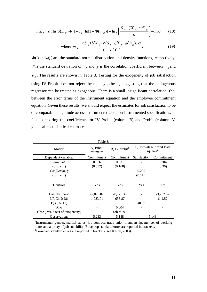$$
\ln L_{\hat{H}} = c_{\hat{H}} \ln \Phi(m_{\hat{H}}) + (1 - c_{\hat{H}}) \ln[1 - \Phi(m_{\hat{H}})] + \ln \varphi \left( \frac{S_{\hat{H}} - \zeta X_{\hat{H}} - \omega' \Theta_{\hat{H}}}{\sigma} \right) - \ln \sigma \qquad (18)
$$

where 
$$
m_{fi} = \frac{aS_{fi} + b'X_{fi} + \rho(S_{fi} - \zeta X_{fi} - \omega' \Theta_{fi})/\sigma}{(1 - \rho^2)^{1/2}}
$$
, (19)

 $\Phi(\cdot)$  and  $\varphi(\cdot)$  are the standard normal distribution and density functions, respectively. σ is the standard deviation of *v*<sub>*fi*</sub> and *ρ* is the correlation coefficient between *u*<sub>*fi*</sub> and  $v_{\hat{p}}$ . The results are shown in Table 3. Testing for the exogeneity of job satisfaction using IV Probit does not reject the null hypothesis, suggesting that the endogenous regressor can be treated as exogenous. There is a small insignificant correlation, rho, between the error terms of the instrument equation and the employee commitment equation. Given these results, we should expect the estimates for job satisfaction to be of comparable magnitude across instrumented and non-instrumented specifications. In fact, comparing the coefficients for IV Probit (column B) and Probit (column A) yields almost identical estimates.

| Table 3:                                   |                        |                           |                                                   |             |  |
|--------------------------------------------|------------------------|---------------------------|---------------------------------------------------|-------------|--|
| Model:                                     | A) Probit<br>estimates | B) IV probit <sup>1</sup> | C) Two-stage probit least<br>squares <sup>2</sup> |             |  |
| Dependent variable:                        | Commitment             | Commitment                | Satisfaction                                      | Commitment  |  |
| Coefficient: $\alpha$                      | 0.836                  | 0.831                     |                                                   | 0.704       |  |
| (Std. err.)                                | (0.032)                | (0.168)                   |                                                   | (0.36)      |  |
| $Coefficient: \gamma$                      |                        |                           | 0.299                                             |             |  |
| (Std. err.)                                |                        |                           | (0.115)                                           |             |  |
|                                            |                        |                           |                                                   |             |  |
| Controls                                   | Yes                    | Yes                       | Yes                                               | Yes         |  |
|                                            |                        |                           |                                                   |             |  |
| Log likelihood                             | $-2,878.02$            | $-8,175.35$               |                                                   | $-3,232.62$ |  |
| LR Chi $2(28)$                             | 1,083.01               | 638.87                    |                                                   | 641.52      |  |
| F(30, 5117)                                |                        |                           | 40.07                                             |             |  |
| Rho                                        |                        | 0.004                     | -                                                 |             |  |
| Chi <sub>2</sub> (Wald test of exogeneity) |                        | $Prob = 0.975$            |                                                   |             |  |
| <b>Observations</b>                        | 5,233                  | 5,148                     |                                                   | 5,148       |  |

<sup>1</sup>Instruments: gender, marital status, job contract, trade union membership, number of working hours and a proxy of job suitability. Bootstrap standard errors are reported in brackets. 2 <sup>2</sup> Corrected standard errors are reported in brackets (see Keshk, 2003).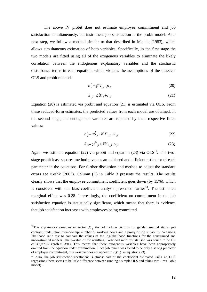The above IV probit does not estimate employee commitment and job satisfaction simultaneously, but instrument job satisfaction in the probit model. As a next step, we follow a method similar to that described in Madala (1983**),** which allows simultaneous estimation of both variables. Specifically, in the first stage the two models are fitted using all of the exogenous variables to eliminate the likely correlation between the endogenous explanatory variables and the stochastic disturbance terms in each equation, which violates the assumptions of the classical OLS and probit methods:

$$
c_{\hat{\beta}}^* = \xi' X_{\hat{\beta}} + \mu_{\hat{\beta}}
$$
 (20)

$$
S_{\hat{h}} = \zeta X_{\hat{h}} + \tau_{\hat{h}}
$$
 (21)

Equation (20) is estimated via probit and equation (21) is estimated via OLS. From these reduced-form estimates, the predicted values from each model are obtained. In the second stage, the endogenous variables are replaced by their respective fitted values:

$$
c_{\hat{f}}^* = a\hat{S}_{f_i} + b'X_{1,f_i} + u_{f_i}
$$
 (22)

$$
S_{\hat{\beta}} = \gamma \hat{C}_{\hat{\beta}} + \delta X_{2,\hat{\beta}} + v_{\hat{\beta}}
$$
 (23)

Again we estimate equation (22) via probit and equation (23) via  $OLS^{12}$ . The twostage probit least squares method gives us an unbiased and efficient estimator of each parameter in the equations. For further discussion and method to adjust the standard errors see Keshk (2003). Column (C) in Table 3 presents the results. The results clearly shows that the employee commitment coefficient goes down (by 15%), which is consistent with our bias coefficient analysis presented earlier<sup>13</sup>. The estimated marginal effect was 0.28. Interestingly, the coefficient on commitment in the job satisfaction equation is statistically significant, which means that there is evidence that job satisfaction increases with employees being committed.

1

<sup>&</sup>lt;sup>12</sup>The explanatory variables in vector  $X_1$  do not include controls for gender, marital status, job contract, trade union membership, number of working hours and a proxy of job suitability. We use a likelihood ratio test to compare the values of the log-likelihood functions for the constrained and unconstrained models. The p-value of the resulting likelihood ratio test statistic was found to be LR  $chi2(7)=7.37$  (prob.=0.391). This means that these exogenous variables have been appropriately omitted from the equation under examination. Since job tenure was found to be only a strong predictor of employee commitment, this variable does not appear in  $(X_2)$  in equation (23).

 $^{13}$  Also, the job satisfaction coefficient is almost half of the coefficient estimated using an OLS regression (there seems to be little difference between running a simple OLS and taking two-limit Tobit model) .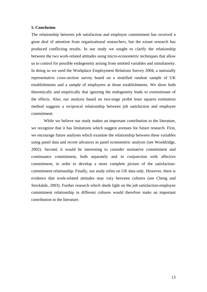#### **5. Conclusion**

The relationship between job satisfaction and employee commitment has received a great deal of attention from organizational researchers, but the extant research has produced conflicting results. In our study we sought to clarify the relationship between the two work-related attitudes using micro-econometric techniques that allow us to control for possible endogeneity arising from omitted variables and simultaneity. In doing so we used the Workplace Employment Relations Survey 2004, a nationally representative cross-section survey based on a stratified random sample of UK establishments and a sample of employees at those establishments. We show both theoretically and empirically that ignoring the endogeneity leads to overestimate of the effects. Also, our analysis based on two-stage probit least squares estimation method suggests a reciprocal relationship between job satisfaction and employee commitment.

While we believe our study makes an important contribution to the literature, we recognize that it has limitations which suggest avenues for future research. First, we encourage future analyses which examine the relationship between these variables using panel data and recent advances in panel econometric analysis (see Wooldridge, 2002). Second, it would be interesting to consider normative commitment and continuance commitment, both separately and in conjunction with affective commitment, in order to develop a more complete picture of the satisfactioncommitment relationship. Finally, our study relies on UK data only. However, there is evidence that work-related attitudes may vary between cultures (see Cheng and Stockdale, 2003). Further research which sheds light on the job satisfaction-employee commitment relationship in different cultures would therefore make an important contribution to the literature.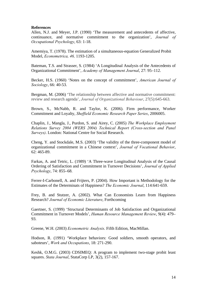### **References**

Allen, N.J. and Meyer, J.P. (1990) 'The measurement and antecedents of affective, continuance, and normative commitment to the organization', *Journal of Occupational Psychology*, 63: 1-18.

Amemiya, T. (1978). The estimation of a simultaneous-equation Generalized Probit Model, *Econometrica, 46,* 1193-1205.

Bateman, T.S. and Strasser, S. (1984) 'A Longitudinal Analysis of the Antecedents of Organizational Commitment', *Academy of Management Journal*, 27: 95–112.

Becker, H.S. (1960) 'Notes on the concept of commitment', *American Journal of Sociology*, 66: 40-53.

Bergman, M. (2006) 'The relationship between affective and normative commitment: review and research agenda', *Journal of Organizational Behaviour*, 27(5):645-663.

Brown, S., McNabb, R. and Taylor, K. (2006). Firm performance, Worker Commitment and Loyalty, *Sheffield Economic Research Paper Series*, 2006005.

Chaplin, J., Mangla, J., Purdon, S. and Airey, C. (2005) *The Workplace Employment Relations Survey 2004 (WERS 2004) Technical Report (Cross-section and Panel Surveys)*. London: National Centre for Social Research.

Cheng, Y. and Stockdale, M.S. (2003) 'The validity of the three-component model of organizational commitment in a Chinese context', *Journal of Vocational Behavior*, 62: 465-89.

Farkas, A. and Tetric, L. (1989) 'A Three-wave Longitudinal Analysis of the Causal Ordering of Satisfaction and Commitment in Turnover Decisions', *Journal of Applied Psychology*, 74: 855–68.

Ferrer-I-Carbonell, A. and Frijters, P. (2004). How Important is Methodology for the Estimates of the Determinats of Happiness? *The Economic Journal*, 114:641-659.

Frey, B. and Stutzer, A. (2002). What Can Economists Learn from Happiness Research? *Journal of Economic Literature*, Forthcoming

Gaertner, S. (1999) 'Structural Determinants of Job Satisfaction and Organizational Commitment in Turnover Models', *Human Resource Management Review*, 9(4): 479– 93.

Greene, W.H. (2003) *Econometric Analysis*. Fifth Edition, MacMillan.

Hodson, R. (1991) 'Workplace behaviors: Good soldiers, smooth operators, and saboteurs', *Work and Occupations*, 18: 271-290.

Keshk, O.M.G. (2003) CDSIMEQ: A program to implement two-stage probit least squares. *Stata Journal*, StataCorp LP, 3(2), 157-167.